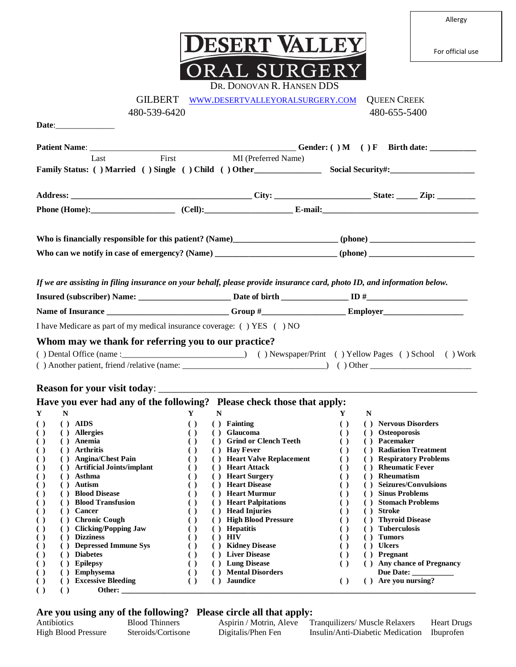| Aller<br>$\bullet$ | u |
|--------------------|---|
|--------------------|---|

For official use



|                                                                                                                                      | DR. DONOVAN R. HANSEN DDS                                                                                                               |                                                                                                          |
|--------------------------------------------------------------------------------------------------------------------------------------|-----------------------------------------------------------------------------------------------------------------------------------------|----------------------------------------------------------------------------------------------------------|
| <b>GILBERT</b>                                                                                                                       | WWW.DESERTVALLEYORALSURGERY.COM                                                                                                         | <b>QUEEN CREEK</b>                                                                                       |
| 480-539-6420                                                                                                                         |                                                                                                                                         | 480-655-5400                                                                                             |
| Date: <u>Date:</u>                                                                                                                   |                                                                                                                                         |                                                                                                          |
|                                                                                                                                      |                                                                                                                                         |                                                                                                          |
| Last                                                                                                                                 | First<br>MI (Preferred Name)                                                                                                            |                                                                                                          |
|                                                                                                                                      |                                                                                                                                         |                                                                                                          |
|                                                                                                                                      |                                                                                                                                         |                                                                                                          |
|                                                                                                                                      |                                                                                                                                         |                                                                                                          |
|                                                                                                                                      |                                                                                                                                         |                                                                                                          |
|                                                                                                                                      |                                                                                                                                         |                                                                                                          |
|                                                                                                                                      |                                                                                                                                         |                                                                                                          |
|                                                                                                                                      |                                                                                                                                         |                                                                                                          |
|                                                                                                                                      |                                                                                                                                         |                                                                                                          |
|                                                                                                                                      | If we are assisting in filing insurance on your behalf, please provide insurance card, photo ID, and information below.                 |                                                                                                          |
|                                                                                                                                      |                                                                                                                                         |                                                                                                          |
|                                                                                                                                      |                                                                                                                                         |                                                                                                          |
|                                                                                                                                      | I have Medicare as part of my medical insurance coverage: () YES () NO                                                                  |                                                                                                          |
| Whom may we thank for referring you to our practice?                                                                                 |                                                                                                                                         |                                                                                                          |
|                                                                                                                                      |                                                                                                                                         |                                                                                                          |
|                                                                                                                                      |                                                                                                                                         |                                                                                                          |
|                                                                                                                                      |                                                                                                                                         |                                                                                                          |
| <b>Reason for your visit today:</b>                                                                                                  |                                                                                                                                         |                                                                                                          |
|                                                                                                                                      | Have you ever had any of the following? Please check those that apply:                                                                  |                                                                                                          |
| ${\bf N}$<br>Y                                                                                                                       | Y<br>N                                                                                                                                  | Y<br>N                                                                                                   |
| $()$ AIDS<br>$\left( \right)$<br>( ) Allergies<br>$\left( \right)$                                                                   | ( ) Fainting<br>$\left( \right)$<br>( ) Glaucoma<br>$\left( \right)$                                                                    | ( ) Nervous Disorders<br>$\left( \ \right)$<br>$\left( \ \right)$<br>( ) Osteoporosis                    |
| ( ) Anemia<br>$\left( \right)$                                                                                                       | ( ) Grind or Clench Teeth<br>$\left( \right)$                                                                                           | $\left( \ \right)$<br>( ) Pacemaker                                                                      |
| ( ) Arthritis<br>$\left( \right)$                                                                                                    | ( ) Hay Fever<br>$\left( \right)$                                                                                                       | ( ) Radiation Treatment<br>$\left( \ \right)$                                                            |
| () Angina/Chest Pain<br>$\left( \ \right)$                                                                                           | ( ) Heart Valve Replacement<br>$\left( \ \right)$                                                                                       | ( ) Respiratory Problems<br>$\left( \ \right)$<br>$\left( \right)$                                       |
| <b>Artificial Joints/implant</b><br>$\left( \ \right)$<br>$\left( \right)$<br>Asthma<br>$\left( \ \right)$<br>$\left( \quad \right)$ | <b>Heart Attack</b><br>$\left( \right)$<br>$\left( \right)$<br><b>Heart Surgery</b><br>$\left( \quad \right)$<br>$\left( \quad \right)$ | <b>Rheumatic Fever</b><br>$\left( \ \right)$<br>Rheumatism<br>$\left( \right)$<br>$\left( \quad \right)$ |
| <b>Autism</b><br>$\left( \right)$<br>$\left( \quad \right)$                                                                          | <b>Heart Disease</b><br>$\left( \quad \right)$<br>$\left( \quad \right)$                                                                | <b>Seizures/Convulsions</b><br>$\left( \right)$                                                          |
| <b>Blood Disease</b><br>$\left( \ \right)$<br>$\left( \quad \right)$                                                                 | <b>Heart Murmur</b><br>( )<br>$\left( \quad \right)$                                                                                    | <b>Sinus Problems</b><br>$\left( \ \right)$<br>$\left( \quad \right)$                                    |
| <b>Blood Transfusion</b><br>$\left( \ \right)$<br>$\left( \quad \right)$                                                             | <b>Heart Palpitations</b><br>$\left( \right)$<br>$\left( \quad \right)$                                                                 | <b>Stomach Problems</b><br>$\left( \ \right)$<br>$\left( \right)$                                        |
| Cancer<br>$\left( \ \right)$<br>$\left( \quad \right)$<br><b>Chronic Cough</b><br>$\left( \ \right)$<br>$\left( \quad \right)$       | <b>Head Injuries</b><br>$\left( \right)$<br>$\left( \quad \right)$<br><b>High Blood Pressure</b><br>( )<br>$\left( \quad \right)$       | <b>Stroke</b><br>$\left( \right)$<br>$\left( \right)$<br><b>Thyroid Disease</b><br>$\left( \ \right)$    |
| <b>Clicking/Popping Jaw</b><br>$\left( \ \right)$<br>$\left( \right)$                                                                | <b>Hepatitis</b><br>$\left( \right)$<br>( )                                                                                             | <b>Tuberculosis</b><br>$\left( \ \right)$                                                                |
| <b>Dizziness</b><br>$\left( \ \right)$<br>$\left( \quad \right)$                                                                     | <b>HIV</b><br>$\left( \right)$<br>$($ )                                                                                                 | <b>Tumors</b><br>$\left( \ \right)$<br>( )                                                               |
| <b>Depressed Immune Sys</b><br>$\left( \ \right)$<br>$\left( \right)$                                                                | <b>Kidney Disease</b><br>$\left( \quad \right)$<br>$\left( \quad \right)$                                                               | <b>Ulcers</b><br>$\left( \ \right)$<br>$\left( \quad \right)$                                            |
| <b>Diabetes</b><br>$\left( \ \right)$<br>$\left( \quad \right)$                                                                      | <b>Liver Disease</b><br>$\left( \begin{array}{c} 1 \end{array} \right)$<br>$\left( \quad \right)$<br><b>Lung Disease</b>                | Pregnant<br>$\left( \ \right)$<br>$\left( \quad \right)$                                                 |
| <b>Epilepsy</b><br>$\left( \right)$<br>$\left( \quad \right)$<br><b>Emphysema</b><br>$\left( \ \right)$<br>$\left( \quad \right)$    | $\left( \ \right)$<br>$\left( \quad \right)$<br><b>Mental Disorders</b><br>$\left( \ \right)$<br>$\left( \quad \right)$                 | <b>Any chance of Pregnancy</b><br>$\left( \ \right)$<br>Due Date:                                        |
| <b>Excessive Bleeding</b><br>$\left( \ \right)$<br>( )                                                                               | <b>Jaundice</b><br>$\left( \right)$<br>(                                                                                                | ( ) Are you nursing?<br>$\left( \ \right)$                                                               |

## **( ) ( ) Other: \_\_\_\_\_\_\_\_\_\_\_\_\_\_\_\_\_\_\_\_\_\_\_\_\_\_\_\_\_\_\_\_\_\_\_\_\_\_\_\_\_\_\_\_\_\_\_\_\_\_\_\_\_\_\_\_\_\_\_\_\_\_\_\_\_\_\_\_\_\_\_\_\_\_\_\_\_\_\_\_\_\_\_\_**

## **Are you using any of the following? Please circle all that apply:**

| $\overline{\phantom{a}}$   |                       | ----               |                                                        |                    |
|----------------------------|-----------------------|--------------------|--------------------------------------------------------|--------------------|
| Antibiotics                | <b>Blood Thinners</b> |                    | Aspirin / Motrin, Aleve Tranquilizers/ Muscle Relaxers | <b>Heart Drugs</b> |
| <b>High Blood Pressure</b> | Steroids/Cortisone    | Digitalis/Phen Fen | Insulin/Anti-Diabetic Medication Ibuprofen             |                    |